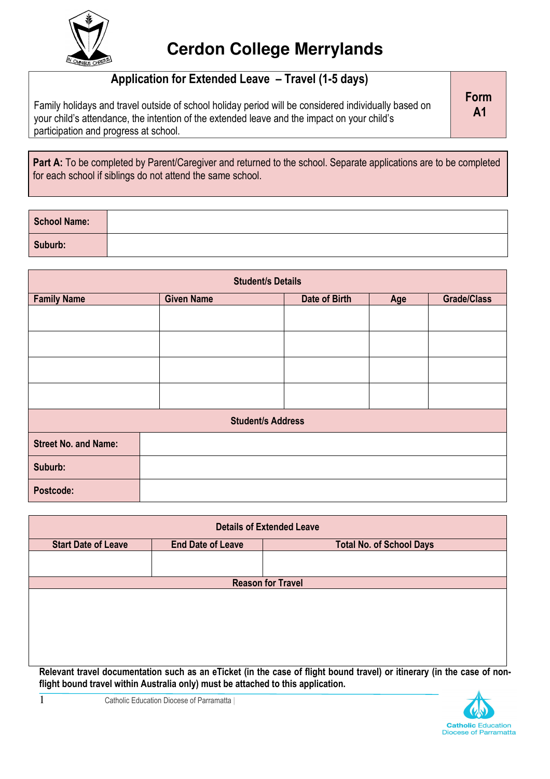

## Application for Extended Leave – Travel (1-5 days)

Family holidays and travel outside of school holiday period will be considered individually based on your child's attendance, the intention of the extended leave and the impact on your child's participation and progress at school.

Part A: To be completed by Parent/Caregiver and returned to the school. Separate applications are to be completed for each school if siblings do not attend the same school.

| School Name: |  |
|--------------|--|
| Suburb:      |  |

| <b>Student/s Details</b>    |                                                                 |  |  |  |
|-----------------------------|-----------------------------------------------------------------|--|--|--|
| <b>Family Name</b>          | Date of Birth<br><b>Given Name</b><br><b>Grade/Class</b><br>Age |  |  |  |
|                             |                                                                 |  |  |  |
|                             |                                                                 |  |  |  |
|                             |                                                                 |  |  |  |
|                             |                                                                 |  |  |  |
| <b>Student/s Address</b>    |                                                                 |  |  |  |
| <b>Street No. and Name:</b> |                                                                 |  |  |  |
| Suburb:                     |                                                                 |  |  |  |
| Postcode:                   |                                                                 |  |  |  |

| <b>Details of Extended Leave</b> |                                                                                  |                                                                                                                         |  |
|----------------------------------|----------------------------------------------------------------------------------|-------------------------------------------------------------------------------------------------------------------------|--|
| <b>Start Date of Leave</b>       | <b>End Date of Leave</b>                                                         | <b>Total No. of School Days</b>                                                                                         |  |
|                                  |                                                                                  |                                                                                                                         |  |
|                                  |                                                                                  |                                                                                                                         |  |
|                                  |                                                                                  | <b>Reason for Travel</b>                                                                                                |  |
|                                  |                                                                                  |                                                                                                                         |  |
|                                  |                                                                                  |                                                                                                                         |  |
|                                  |                                                                                  |                                                                                                                         |  |
|                                  |                                                                                  |                                                                                                                         |  |
|                                  |                                                                                  |                                                                                                                         |  |
|                                  |                                                                                  |                                                                                                                         |  |
|                                  | flight bound travel within Australia only) must be attached to this application. | Relevant travel documentation such as an eTicket (in the case of flight bound travel) or itinerary (in the case of non- |  |



Form A1

1 **Catholic Education Diocese of Parramatta**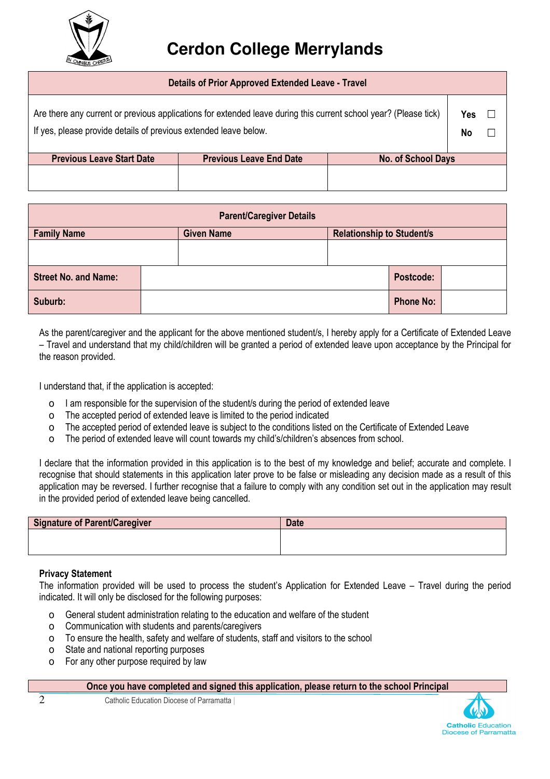

## **Cerdon College Merrylands**

| Details of Prior Approved Extended Leave - Travel                |                                                                                                                  |                           |                  |        |
|------------------------------------------------------------------|------------------------------------------------------------------------------------------------------------------|---------------------------|------------------|--------|
| If yes, please provide details of previous extended leave below. | Are there any current or previous applications for extended leave during this current school year? (Please tick) |                           | <b>Yes</b><br>No | $\Box$ |
| <b>Previous Leave Start Date</b>                                 | <b>Previous Leave End Date</b>                                                                                   | <b>No. of School Days</b> |                  |        |
|                                                                  |                                                                                                                  |                           |                  |        |

| <b>Parent/Caregiver Details</b> |  |                   |  |                                  |                  |  |
|---------------------------------|--|-------------------|--|----------------------------------|------------------|--|
| <b>Family Name</b>              |  | <b>Given Name</b> |  | <b>Relationship to Student/s</b> |                  |  |
|                                 |  |                   |  |                                  |                  |  |
| <b>Street No. and Name:</b>     |  |                   |  |                                  | Postcode:        |  |
| Suburb:                         |  |                   |  |                                  | <b>Phone No:</b> |  |

As the parent/caregiver and the applicant for the above mentioned student/s, I hereby apply for a Certificate of Extended Leave – Travel and understand that my child/children will be granted a period of extended leave upon acceptance by the Principal for the reason provided.

I understand that, if the application is accepted:

- o I am responsible for the supervision of the student/s during the period of extended leave
- o The accepted period of extended leave is limited to the period indicated
- o The accepted period of extended leave is subject to the conditions listed on the Certificate of Extended Leave
- o The period of extended leave will count towards my child's/children's absences from school.

I declare that the information provided in this application is to the best of my knowledge and belief; accurate and complete. I recognise that should statements in this application later prove to be false or misleading any decision made as a result of this application may be reversed. I further recognise that a failure to comply with any condition set out in the application may result in the provided period of extended leave being cancelled.

| Signature of Parent/Caregiver | <b>Date</b> |
|-------------------------------|-------------|
|                               |             |
|                               |             |

## Privacy Statement

The information provided will be used to process the student's Application for Extended Leave – Travel during the period indicated. It will only be disclosed for the following purposes:

- o General student administration relating to the education and welfare of the student
- o Communication with students and parents/caregivers
- o To ensure the health, safety and welfare of students, staff and visitors to the school
- o State and national reporting purposes
- o For any other purpose required by law

Once you have completed and signed this application, please return to the school Principal